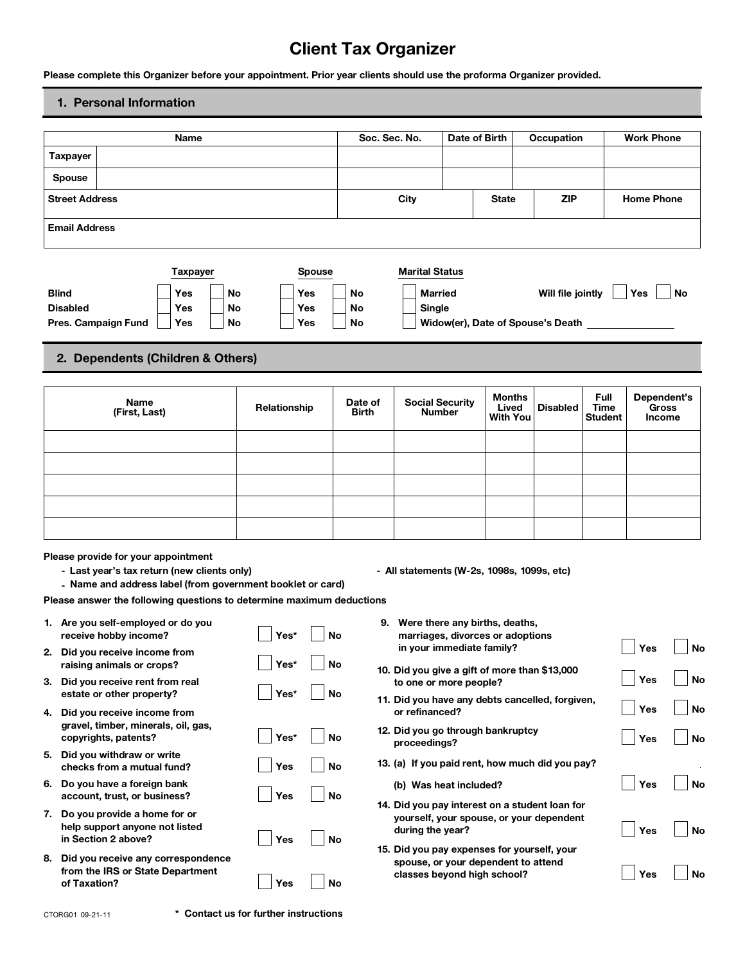# **Client Tax Organizer**

### **1. Personal Information**

|                       | Please complete this Organizer before your appointment. Prior year clients should use the proforma Organizer provided.                                                                                                    |                 |    |              |               |                         | <b>Client Tax Organizer</b>                                                                                       |               |                                    |                                        |                                |                   |                                              |
|-----------------------|---------------------------------------------------------------------------------------------------------------------------------------------------------------------------------------------------------------------------|-----------------|----|--------------|---------------|-------------------------|-------------------------------------------------------------------------------------------------------------------|---------------|------------------------------------|----------------------------------------|--------------------------------|-------------------|----------------------------------------------|
|                       | 1. Personal Information                                                                                                                                                                                                   |                 |    |              |               |                         |                                                                                                                   |               |                                    |                                        |                                |                   |                                              |
|                       |                                                                                                                                                                                                                           | Name            |    |              |               |                         | Soc. Sec. No.                                                                                                     | Date of Birth |                                    | Occupation                             |                                | <b>Work Phone</b> |                                              |
| <b>Taxpayer</b>       |                                                                                                                                                                                                                           |                 |    |              |               |                         |                                                                                                                   |               |                                    |                                        |                                |                   |                                              |
| <b>Spouse</b>         |                                                                                                                                                                                                                           |                 |    |              |               |                         |                                                                                                                   |               |                                    |                                        |                                |                   |                                              |
| <b>Street Address</b> |                                                                                                                                                                                                                           |                 |    |              |               |                         | City                                                                                                              |               | <b>State</b>                       | <b>ZIP</b>                             |                                | <b>Home Phone</b> |                                              |
| <b>Email Address</b>  |                                                                                                                                                                                                                           |                 |    |              |               |                         |                                                                                                                   |               |                                    |                                        |                                |                   |                                              |
|                       |                                                                                                                                                                                                                           | <b>Taxpayer</b> |    |              | <b>Spouse</b> |                         | <b>Marital Status</b>                                                                                             |               |                                    |                                        |                                |                   |                                              |
| <b>Blind</b>          |                                                                                                                                                                                                                           | Yes             | No | Yes          |               | <b>No</b>               | <b>Married</b>                                                                                                    |               |                                    | Will file jointly                      |                                | Yes               | No                                           |
| <b>Disabled</b>       |                                                                                                                                                                                                                           | Yes             | No | Yes          |               | No                      | Single                                                                                                            |               |                                    |                                        |                                |                   |                                              |
|                       | Pres. Campaign Fund                                                                                                                                                                                                       | Yes             | No | Yes          |               | No                      |                                                                                                                   |               |                                    | Widow(er), Date of Spouse's Death ____ |                                |                   |                                              |
|                       | 2. Dependents (Children & Others)                                                                                                                                                                                         |                 |    |              |               |                         |                                                                                                                   |               |                                    |                                        |                                |                   |                                              |
|                       |                                                                                                                                                                                                                           |                 |    |              |               |                         |                                                                                                                   |               |                                    |                                        |                                |                   |                                              |
|                       | Name<br>(First, Last)                                                                                                                                                                                                     |                 |    | Relationship |               | Date of<br><b>Birth</b> | <b>Social Security</b><br><b>Number</b>                                                                           |               | <b>Months</b><br>Lived<br>With You | <b>Disabled</b>                        | Full<br>Time<br><b>Student</b> |                   | Dependent's<br><b>Gross</b><br><b>Income</b> |
|                       |                                                                                                                                                                                                                           |                 |    |              |               |                         |                                                                                                                   |               |                                    |                                        |                                |                   |                                              |
|                       |                                                                                                                                                                                                                           |                 |    |              |               |                         |                                                                                                                   |               |                                    |                                        |                                |                   |                                              |
|                       |                                                                                                                                                                                                                           |                 |    |              |               |                         |                                                                                                                   |               |                                    |                                        |                                |                   |                                              |
|                       |                                                                                                                                                                                                                           |                 |    |              |               |                         |                                                                                                                   |               |                                    |                                        |                                |                   |                                              |
|                       |                                                                                                                                                                                                                           |                 |    |              |               |                         |                                                                                                                   |               |                                    |                                        |                                |                   |                                              |
|                       | Please provide for your appointment<br>- Last year's tax return (new clients only)<br>- Name and address label (from government booklet or card)<br>Please answer the following questions to determine maximum deductions |                 |    |              |               |                         | - All statements (W-2s, 1098s, 1099s, etc)                                                                        |               |                                    |                                        |                                |                   |                                              |
|                       | 1. Are you self-employed or do you<br>receive hobby income?                                                                                                                                                               |                 |    | Yes*         |               | No                      | 9. Were there any births, deaths,<br>marriages, divorces or adoptions                                             |               |                                    |                                        |                                |                   |                                              |
|                       | 2. Did you receive income from<br>raising animals or crops?                                                                                                                                                               |                 |    | Yes*         |               | No                      | in your immediate family?                                                                                         |               |                                    |                                        |                                | Yes               | <b>No</b>                                    |
|                       | 3. Did you receive rent from real                                                                                                                                                                                         |                 |    | Yes*         |               | <b>No</b>               | 10. Did you give a gift of more than \$13,000<br>to one or more people?                                           |               |                                    |                                        |                                | Yes               | No                                           |
|                       | estate or other property?<br>4. Did you receive income from                                                                                                                                                               |                 |    |              |               |                         | 11. Did you have any debts cancelled, forgiven,<br>or refinanced?                                                 |               |                                    |                                        |                                | Yes               | No                                           |
|                       | gravel, timber, minerals, oil, gas,<br>copyrights, patents?                                                                                                                                                               |                 |    | Yes*         |               | <b>No</b>               | 12. Did you go through bankruptcy                                                                                 |               |                                    |                                        |                                | Yes               | <b>No</b>                                    |
|                       | 5. Did you withdraw or write                                                                                                                                                                                              |                 |    | Yes          |               | <b>No</b>               | proceedings?<br>13. (a) If you paid rent, how much did you pay?                                                   |               |                                    |                                        |                                |                   |                                              |
|                       | checks from a mutual fund?<br>6. Do you have a foreign bank                                                                                                                                                               |                 |    |              |               |                         | (b) Was heat included?                                                                                            |               |                                    |                                        |                                | Yes               | <b>No</b>                                    |
|                       | account, trust, or business?                                                                                                                                                                                              |                 |    | Yes          |               | No                      | 14. Did you pay interest on a student loan for                                                                    |               |                                    |                                        |                                |                   |                                              |
|                       | 7. Do you provide a home for or<br>help support anyone not listed<br>in Section 2 above?                                                                                                                                  |                 |    | Yes          |               | <b>No</b>               | yourself, your spouse, or your dependent<br>during the year?                                                      |               |                                    |                                        |                                | Yes               | No                                           |
|                       | 8. Did you receive any correspondence<br>from the IRS or State Department                                                                                                                                                 |                 |    |              |               |                         | 15. Did you pay expenses for yourself, your<br>spouse, or your dependent to attend<br>classes beyond high school? |               |                                    |                                        |                                | Yes               | <b>No</b>                                    |
| of Taxation?          |                                                                                                                                                                                                                           |                 |    | Yes          |               | No                      |                                                                                                                   |               |                                    |                                        |                                |                   |                                              |

**CTORG01 09-21-11 \* Contact us for further instructions**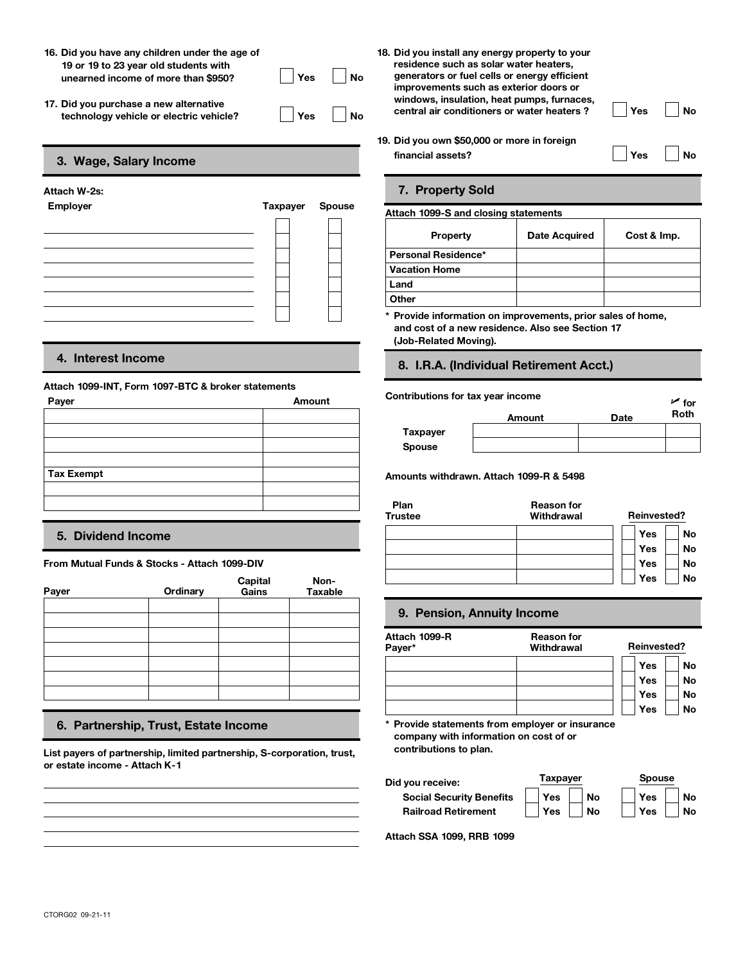- **16. Did you have any children under the age of 19 or 19 to 23 year old students with Did you have any children under the age of**<br>19 or 19 to 23 year old students with residence income of more than \$950?<br>The same of more than \$950?<br>Pes No generate income of more than \$950? **16. Did you have any children under the age of<br>19 or 19 to 23 year old students with<br>unearned income of more than \$950?<br>17. Did you purchase a new alternative**
- 



### **Attach 1099-INT, Form 1097-BTC & broker statements**

| Payer             | Amount |
|-------------------|--------|
|                   |        |
|                   |        |
|                   |        |
|                   |        |
| <b>Tax Exempt</b> |        |
|                   |        |
|                   |        |
|                   |        |

### **5. Dividend Income**

#### **From Mutual Funds & Stocks - Attach 1099-DIV**

| Payer | Ordinary | Capital<br>Gains | Non-<br>Taxable |               |
|-------|----------|------------------|-----------------|---------------|
|       |          |                  |                 | 9.            |
|       |          |                  |                 | Attad<br>Paye |
|       |          |                  |                 |               |
|       |          |                  |                 |               |
|       |          |                  |                 |               |

### **6. Partnership, Trust, Estate Income**

**List payers of partnership, limited partnership, S-corporation, trust, or estate income - Attach K-1**

**18. Did you install any energy property to your residence such as solar water heaters, generators or fuel cells or energy efficient improvements such as exterior doors or windows, insulation, heat pumps, furnaces, central air conditioners or water heaters ? id you have any children under the age of**<br> **technology vehicle** or 19 to 23 year old students with<br> **the convertice of the superators** or the convertion of more than \$950?<br> **Pes** No **Prese** No *Perators* or *Mo Perato* **18. Did you install any energy property to your**<br>residence such as solar water heaters,<br>generators or fuel cells or energy efficient<br>improvements such as exterior doors or<br>windows, insulation, heat pumps, furnaces,<br>centra **Financial assets? Financial assets**? No<br> **Figure 19** or 19 to 23 year old students with<br>
unearned income of more than \$950?<br> **Figure 19** or 19 to 23 year old students with<br>
unearned income of more than \$950?<br> **Figure 1** The technology vehicle or electric vehicle?<br>
The solution, heat pumps, furnaces,<br>
technology vehicle or electric vehicle?<br>
Taxpayer Spouse<br>
Taxpayer Spouse<br>
Taxpayer Spouse<br>
Taxpayer Spouse<br>
Taxpayer Spouse<br>
Taxpayer Spous

#### **Attach W-2s: 7. Property Sold**

| ). Did you own \$50,000 or more in foreign<br>financial assets? | Yes           | <b>No</b>   |  |
|-----------------------------------------------------------------|---------------|-------------|--|
| 7. Property Sold                                                |               |             |  |
| Attach 1099-S and closing statements                            |               |             |  |
| Property                                                        | Date Acquired | Cost & Imp. |  |
| Personal Residence*                                             |               |             |  |
| <b>Vacation Home</b>                                            |               |             |  |
| Land                                                            |               |             |  |
| Other                                                           |               |             |  |
| * Provide information on improvements, prior sales of home,     |               |             |  |

**and cost of a new residence. Also see Section 17 (Job-Related Moving).**

# **4. Interest Income 8. I.R.A. (Individual Retirement Acct.)**

## **Contributions for tax year income**<br>**Amount Date Poth Amount Taxpayer Spouse**

**Tax Exempt Amounts withdrawn. Attach 1099-R & 5498**

| Plan<br><b>Trustee</b> | <b>Reason for</b><br>Withdrawal | <b>Reinvested?</b>                         |
|------------------------|---------------------------------|--------------------------------------------|
|                        |                                 | Yes<br>No<br>Yes<br><b>No</b><br>Yes<br>No |
|                        |                                 | Yes<br><b>No</b>                           |

### **9. Pension, Annuity Income**

| Attach 1099-R<br>Payer* | <b>Reason for</b><br>Withdrawal | <b>Reinvested?</b> |           |
|-------------------------|---------------------------------|--------------------|-----------|
|                         |                                 | Yes                |           |
|                         |                                 | Yes                |           |
|                         |                                 | Yes                | <b>No</b> |
|                         |                                 | Yes                | <b>No</b> |

**company with information on cost of or contributions to plan.**

| Did you receive:                | Taxpaver |           |     | <b>Spouse</b> |  |  |
|---------------------------------|----------|-----------|-----|---------------|--|--|
| <b>Social Security Benefits</b> | Yes      | <b>No</b> | Yes | <b>No</b>     |  |  |
| <b>Railroad Retirement</b>      | Yes      | No        | Yes | <b>No</b>     |  |  |

**Attach SSA 1099, RRB 1099**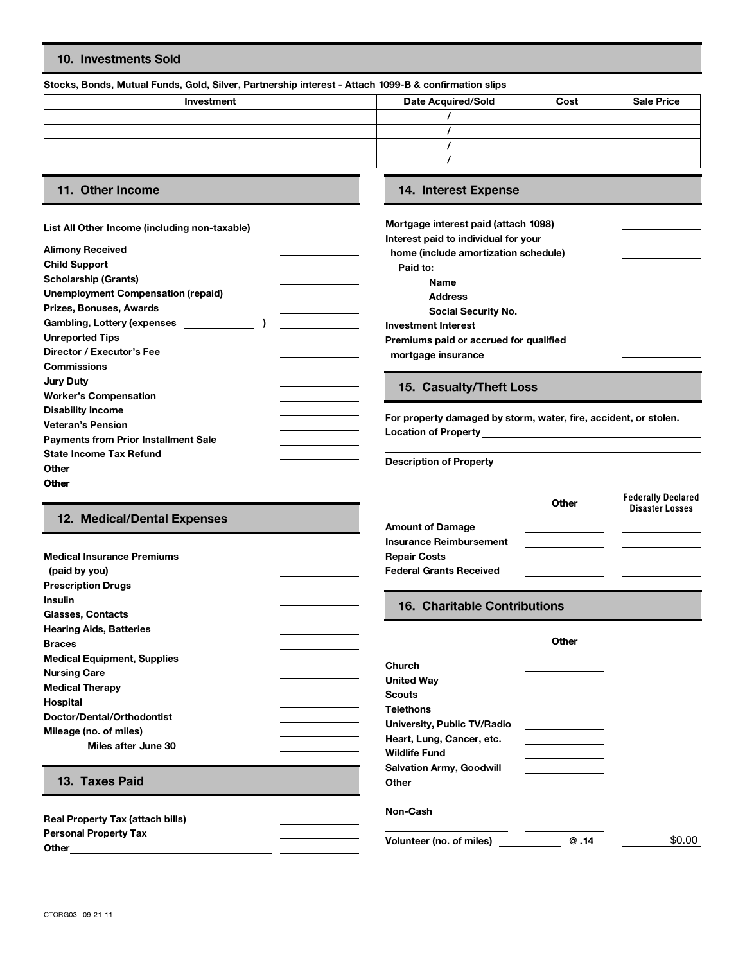### **10. Investments Sold**

#### **Stocks, Bonds, Mutual Funds, Gold, Silver, Partnership interest - Attach 1099-B & confirmation slips**

| Investment | <b>Date Acquired/Sold</b> | Cost | <b>Sale Price</b> |
|------------|---------------------------|------|-------------------|
|            |                           |      |                   |
|            |                           |      |                   |
|            |                           |      |                   |
|            |                           |      |                   |
|            |                           |      |                   |

### **11. Other Income 14. Interest Expense**

**Medical Insurance Premiums**

 **(paid by you) Prescription Drugs**

#### **List All Other Income (including non-taxable)**

| <b>Alimony Received</b>                     | home (include amortization                                                |
|---------------------------------------------|---------------------------------------------------------------------------|
| <b>Child Support</b>                        | Paid to:                                                                  |
| <b>Scholarship (Grants)</b>                 | Name                                                                      |
| <b>Unemployment Compensation (repaid)</b>   | <b>Address</b><br>the control of the control of the control of            |
| Prizes, Bonuses, Awards                     | <b>Social Security No</b><br>the control of the control of the control of |
| <b>Gambling, Lottery (expenses</b>          | <b>Investment Interest</b>                                                |
| <b>Unreported Tips</b>                      | Premiums paid or accrued f                                                |
| Director / Executor's Fee                   | mortgage insurance                                                        |
| <b>Commissions</b>                          |                                                                           |
| <b>Jury Duty</b>                            |                                                                           |
| <b>Worker's Compensation</b>                | 15. Casualty/Theft L                                                      |
| <b>Disability Income</b>                    |                                                                           |
| <b>Veteran's Pension</b>                    | For property damaged by st                                                |
| <b>Payments from Prior Installment Sale</b> | <b>Location of Property</b>                                               |
| <b>State Income Tax Refund</b>              |                                                                           |
| Other                                       | <b>Description of Property</b>                                            |
| <b>Other</b>                                |                                                                           |
|                                             |                                                                           |

| Mortgage interest paid (attach 1098)                         |  |
|--------------------------------------------------------------|--|
| Interest paid to individual for your                         |  |
| home (include amortization schedule)                         |  |
| Paid to:                                                     |  |
| Name                                                         |  |
| <b>Address</b>                                               |  |
| Social Security No.                                          |  |
| <b>Investment Interest</b>                                   |  |
| Premiums paid or accrued for qualified<br>mortgage insurance |  |
|                                                              |  |

### **15. Casualty/Theft Loss**

For property damaged by storm, water, fire, accident, or stolen. **Location of Property**

|                             |                                | Other | <b>Federally Declared</b><br><b>Disaster Losses</b> |
|-----------------------------|--------------------------------|-------|-----------------------------------------------------|
| 12. Medical/Dental Expenses | <b>Amount of Damage</b>        |       |                                                     |
|                             | <b>Insurance Reimbursement</b> |       |                                                     |
| edical Insurance Premiums   | <b>Repair Costs</b>            |       |                                                     |
| aid by you)                 | <b>Federal Grants Received</b> |       |                                                     |

| <b>Insulin</b>                          | <b>16. Charitable Contributions</b> |       |        |
|-----------------------------------------|-------------------------------------|-------|--------|
| Glasses, Contacts                       |                                     |       |        |
| <b>Hearing Aids, Batteries</b>          |                                     |       |        |
| <b>Braces</b>                           |                                     | Other |        |
| <b>Medical Equipment, Supplies</b>      | <b>Church</b>                       |       |        |
| <b>Nursing Care</b>                     | <b>United Way</b>                   |       |        |
| <b>Medical Therapy</b>                  | <b>Scouts</b>                       |       |        |
| Hospital                                | <b>Telethons</b>                    |       |        |
| Doctor/Dental/Orthodontist              | University, Public TV/Radio         |       |        |
| Mileage (no. of miles)                  | Heart, Lung, Cancer, etc.           |       |        |
| Miles after June 30                     | <b>Wildlife Fund</b>                |       |        |
|                                         | <b>Salvation Army, Goodwill</b>     |       |        |
| 13. Taxes Paid                          | Other                               |       |        |
| <b>Real Property Tax (attach bills)</b> | Non-Cash                            |       |        |
| <b>Personal Property Tax</b><br>Other   | Volunteer (no. of miles)            | @.14  | \$0.00 |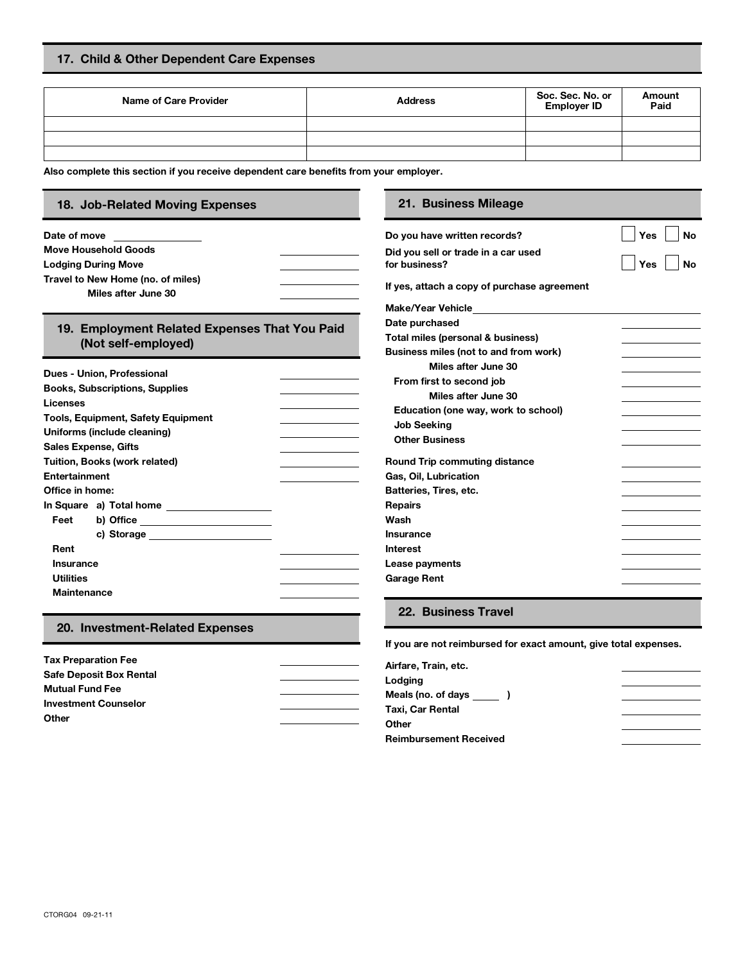### **17. Child & Other Dependent Care Expenses**

| Name of Care Provider | <b>Address</b> | Soc. Sec. No. or<br><b>Employer ID</b> | Amount<br>Paid |
|-----------------------|----------------|----------------------------------------|----------------|
|                       |                |                                        |                |
|                       |                |                                        |                |
|                       |                |                                        |                |

**Also complete this section if you receive dependent care benefits from your employer.**

## **18. Job-Related Moving Expenses 21. Business Mileage**

| Date of move<br><u> 1989 - Jan Jawa</u><br><b>Move Household Goods</b> | Do you have written records?                         | <b>No</b><br>Yes |
|------------------------------------------------------------------------|------------------------------------------------------|------------------|
| <b>Lodging During Move</b>                                             | Did you sell or trade in a car used<br>for business? | Yes<br><b>No</b> |
| Travel to New Home (no. of miles)                                      |                                                      |                  |
| Miles after June 30                                                    | If yes, attach a copy of purchase agreement          |                  |
|                                                                        |                                                      |                  |
| 19. Employment Related Expenses That You Paid                          | Date purchased                                       |                  |
| (Not self-employed)                                                    | Total miles (personal & business)                    |                  |
|                                                                        | Business miles (not to and from work)                |                  |
| Dues - Union, Professional                                             | Miles after June 30                                  |                  |
| <b>Books, Subscriptions, Supplies</b>                                  | From first to second job                             |                  |
| Licenses                                                               | Miles after June 30                                  |                  |
|                                                                        | Education (one way, work to school)                  |                  |
| Tools, Equipment, Safety Equipment                                     | <b>Job Seeking</b>                                   |                  |
| Uniforms (include cleaning)                                            | <b>Other Business</b>                                |                  |
| <b>Sales Expense, Gifts</b>                                            |                                                      |                  |
| Tuition, Books (work related)                                          | <b>Round Trip commuting distance</b>                 |                  |
| Entertainment                                                          | Gas, Oil, Lubrication                                |                  |
| Office in home:                                                        | Batteries, Tires, etc.                               |                  |
| In Square a) Total home ___________________                            | <b>Repairs</b>                                       |                  |
| Feet<br>b) Office ________________________                             | Wash                                                 |                  |
| c) Storage _______________________                                     | Insurance                                            |                  |
| Rent                                                                   | <b>Interest</b>                                      |                  |
| <b>Insurance</b>                                                       | Lease payments                                       |                  |
| <b>Utilities</b>                                                       | <b>Garage Rent</b>                                   |                  |
| <b>Maintenance</b>                                                     |                                                      |                  |

#### **20. Investment-Related Expenses**

| <b>Tax Preparation Fee</b>     |  |
|--------------------------------|--|
| <b>Safe Deposit Box Rental</b> |  |
| <b>Mutual Fund Fee</b>         |  |
| <b>Investment Counselor</b>    |  |
| Other                          |  |

#### **If you are not reimbursed for exact amount, give total expenses.**

| Airfare, Train, etc.          |  |
|-------------------------------|--|
| Lodging                       |  |
| Meals (no. of days            |  |
| Taxi, Car Rental              |  |
| Other                         |  |
| <b>Reimbursement Received</b> |  |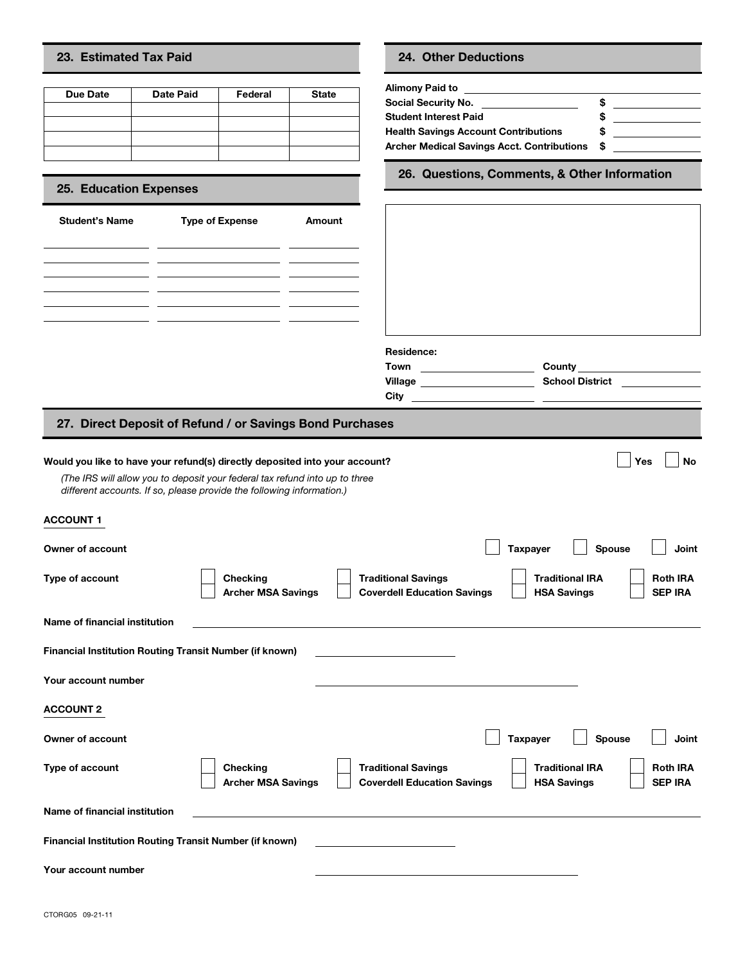### **23. Estimated Tax Paid 24. Other Deductions**

| 23. Estimated Tax Paid                          |                  |                        |              | <b>24. Other Deductions</b>                                                                                                                           |
|-------------------------------------------------|------------------|------------------------|--------------|-------------------------------------------------------------------------------------------------------------------------------------------------------|
| Due Date                                        | <b>Date Paid</b> | Federal                | <b>State</b> | Alimony Paid to<br>Social Security No.<br><b>Student Interest Paid</b><br><b>Health Savings Account Contri</b><br><b>Archer Medical Savings Acct.</b> |
| 25. Education Expenses<br><b>Student's Name</b> |                  | <b>Type of Expense</b> | Amount       | 26. Questions, Comm                                                                                                                                   |

#### **25. Education Expenses**

| <b>Student's Name</b> | <b>Type of Expense</b> | Amount |
|-----------------------|------------------------|--------|
|                       |                        |        |
|                       |                        |        |
|                       |                        |        |
|                       |                        |        |
|                       |                        |        |
|                       |                        |        |

| Social Security No.                               | ж |  |
|---------------------------------------------------|---|--|
| <b>Student Interest Paid</b>                      |   |  |
| <b>Health Savings Account Contributions</b>       |   |  |
| <b>Archer Medical Savings Acct. Contributions</b> | S |  |

**26. Questions, Comments, & Other Information**

| <b>Student's Name</b>         | <b>Type of Expense</b>                                                                                                                                                                                                              | Amount |                                                                  |                                              |                                                  |
|-------------------------------|-------------------------------------------------------------------------------------------------------------------------------------------------------------------------------------------------------------------------------------|--------|------------------------------------------------------------------|----------------------------------------------|--------------------------------------------------|
|                               |                                                                                                                                                                                                                                     |        |                                                                  |                                              |                                                  |
|                               | <u> 1986 - Jan Samuel Barbara, poeta esta</u>                                                                                                                                                                                       |        |                                                                  |                                              |                                                  |
|                               | <u> 1989 - Johann Stoff, amerikansk politiker (</u>                                                                                                                                                                                 |        |                                                                  |                                              |                                                  |
|                               |                                                                                                                                                                                                                                     |        | Residence:                                                       |                                              |                                                  |
|                               |                                                                                                                                                                                                                                     |        | Town ________________________                                    |                                              | County ________________________                  |
|                               |                                                                                                                                                                                                                                     |        | Village _____________________                                    |                                              | <b>School District Community School District</b> |
|                               |                                                                                                                                                                                                                                     |        |                                                                  |                                              |                                                  |
|                               | 27. Direct Deposit of Refund / or Savings Bond Purchases                                                                                                                                                                            |        |                                                                  |                                              |                                                  |
|                               | Would you like to have your refund(s) directly deposited into your account?<br>(The IRS will allow you to deposit your federal tax refund into up to three<br>different accounts. If so, please provide the following information.) |        |                                                                  |                                              | No<br>Yes                                        |
| <b>ACCOUNT 1</b>              |                                                                                                                                                                                                                                     |        |                                                                  |                                              |                                                  |
| Owner of account              |                                                                                                                                                                                                                                     |        |                                                                  | Taxpayer                                     | Joint<br>Spouse                                  |
| Type of account               | <b>Checking</b><br><b>Archer MSA Savings</b>                                                                                                                                                                                        |        | <b>Traditional Savings</b><br><b>Coverdell Education Savings</b> | <b>Traditional IRA</b><br><b>HSA Savings</b> | <b>Roth IRA</b><br><b>SEP IRA</b>                |
| Name of financial institution |                                                                                                                                                                                                                                     |        |                                                                  |                                              |                                                  |
|                               | Financial Institution Routing Transit Number (if known)                                                                                                                                                                             |        |                                                                  |                                              |                                                  |
| Your account number           |                                                                                                                                                                                                                                     |        |                                                                  |                                              |                                                  |
| ACCOLINT 2                    |                                                                                                                                                                                                                                     |        |                                                                  |                                              |                                                  |

**Your account number ACCOUNT 2 Prinancial Institution Routing Transit Number (if known)**<br> **Pour account number<br>
ACCOUNT 2<br>
Owner of account Type of account Checking Checking Traditional Savings Traditional IRA Archer MSA Savings**<br> **Archer MSA Savings**<br> **Archer MSA Savings**<br> **Archer MSA Savings**<br> **Archer MSA Savings**<br> **Archer MSA Savings**<br> **Archer MSA Savings**<br> **ARSA SAVING SEP IRA Name of financial institution Financial Institution Routing Transit Number (if known) Your account number**